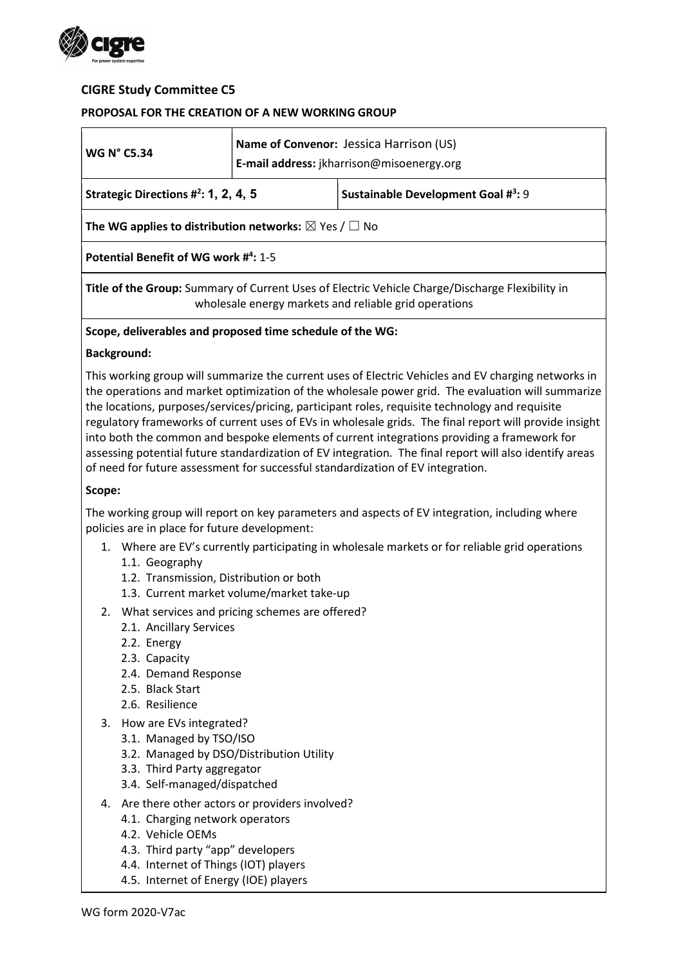

### CIGRE Study Committee C5

### PROPOSAL FOR THE CREATION OF A NEW WORKING GROUP

| <b>WG N° C5.34</b>                                                                                                                                                                                                                                                                                                                                                                                                                                                                                                                                                                                                                                                                                                 | Name of Convenor: Jessica Harrison (US)<br>E-mail address: jkharrison@misoenergy.org |                                    |  |  |
|--------------------------------------------------------------------------------------------------------------------------------------------------------------------------------------------------------------------------------------------------------------------------------------------------------------------------------------------------------------------------------------------------------------------------------------------------------------------------------------------------------------------------------------------------------------------------------------------------------------------------------------------------------------------------------------------------------------------|--------------------------------------------------------------------------------------|------------------------------------|--|--|
| Strategic Directions $\#^2$ : 1, 2, 4, 5                                                                                                                                                                                                                                                                                                                                                                                                                                                                                                                                                                                                                                                                           |                                                                                      | Sustainable Development Goal #3: 9 |  |  |
| The WG applies to distribution networks: $\boxtimes$ Yes / $\Box$ No                                                                                                                                                                                                                                                                                                                                                                                                                                                                                                                                                                                                                                               |                                                                                      |                                    |  |  |
| Potential Benefit of WG work #4: 1-5                                                                                                                                                                                                                                                                                                                                                                                                                                                                                                                                                                                                                                                                               |                                                                                      |                                    |  |  |
| Title of the Group: Summary of Current Uses of Electric Vehicle Charge/Discharge Flexibility in<br>wholesale energy markets and reliable grid operations                                                                                                                                                                                                                                                                                                                                                                                                                                                                                                                                                           |                                                                                      |                                    |  |  |
| Scope, deliverables and proposed time schedule of the WG:                                                                                                                                                                                                                                                                                                                                                                                                                                                                                                                                                                                                                                                          |                                                                                      |                                    |  |  |
| <b>Background:</b>                                                                                                                                                                                                                                                                                                                                                                                                                                                                                                                                                                                                                                                                                                 |                                                                                      |                                    |  |  |
| This working group will summarize the current uses of Electric Vehicles and EV charging networks in<br>the operations and market optimization of the wholesale power grid. The evaluation will summarize<br>the locations, purposes/services/pricing, participant roles, requisite technology and requisite<br>regulatory frameworks of current uses of EVs in wholesale grids. The final report will provide insight<br>into both the common and bespoke elements of current integrations providing a framework for<br>assessing potential future standardization of EV integration. The final report will also identify areas<br>of need for future assessment for successful standardization of EV integration. |                                                                                      |                                    |  |  |
| Scope:                                                                                                                                                                                                                                                                                                                                                                                                                                                                                                                                                                                                                                                                                                             |                                                                                      |                                    |  |  |

The working group will report on key parameters and aspects of EV integration, including where policies are in place for future development:

- 1. Where are EV's currently participating in wholesale markets or for reliable grid operations
	- 1.1. Geography
	- 1.2. Transmission, Distribution or both
	- 1.3. Current market volume/market take-up
- 2. What services and pricing schemes are offered?
	- 2.1. Ancillary Services
	- 2.2. Energy
	- 2.3. Capacity
	- 2.4. Demand Response
	- 2.5. Black Start
	- 2.6. Resilience
- 3. How are EVs integrated?
	- 3.1. Managed by TSO/ISO
	- 3.2. Managed by DSO/Distribution Utility
	- 3.3. Third Party aggregator
	- 3.4. Self-managed/dispatched
- 4. Are there other actors or providers involved?
	- 4.1. Charging network operators
	- 4.2. Vehicle OEMs
	- 4.3. Third party "app" developers
	- 4.4. Internet of Things (IOT) players
	- 4.5. Internet of Energy (IOE) players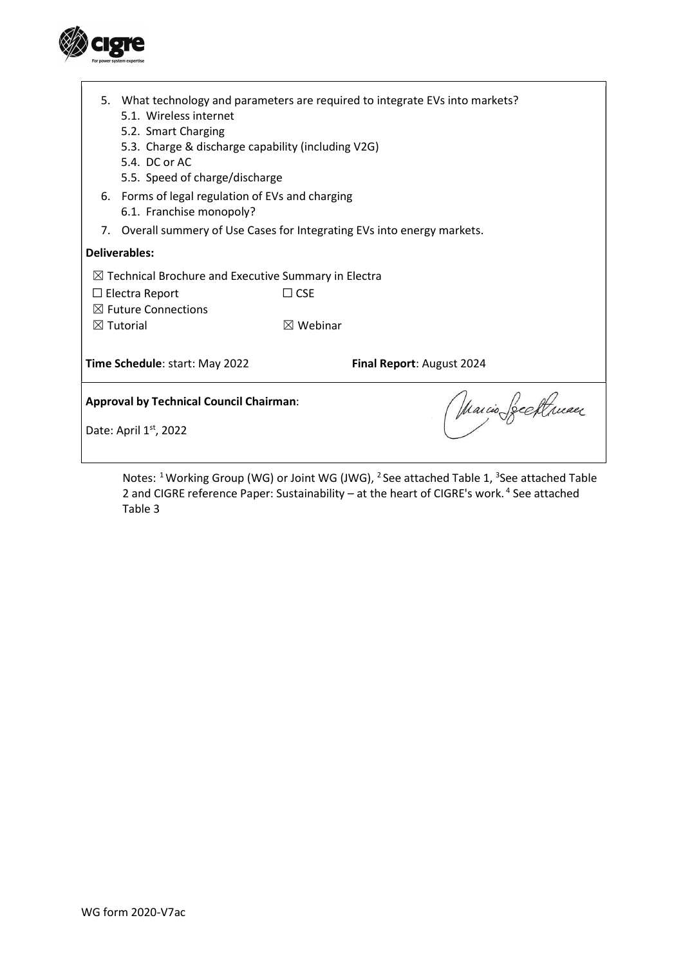

|                                                                      | 5. What technology and parameters are required to integrate EVs into markets?<br>5.1. Wireless internet<br>5.2. Smart Charging<br>5.3. Charge & discharge capability (including V2G)<br>5.4. DC or AC<br>5.5. Speed of charge/discharge |                     |  |
|----------------------------------------------------------------------|-----------------------------------------------------------------------------------------------------------------------------------------------------------------------------------------------------------------------------------------|---------------------|--|
|                                                                      | 6. Forms of legal regulation of EVs and charging<br>6.1. Franchise monopoly?                                                                                                                                                            |                     |  |
|                                                                      | 7. Overall summery of Use Cases for Integrating EVs into energy markets.                                                                                                                                                                |                     |  |
| Deliverables:                                                        |                                                                                                                                                                                                                                         |                     |  |
| $\boxtimes$ Technical Brochure and Executive Summary in Electra      |                                                                                                                                                                                                                                         |                     |  |
|                                                                      | $\Box$ Electra Report                                                                                                                                                                                                                   | $\Box$ CSE          |  |
|                                                                      | $\boxtimes$ Future Connections                                                                                                                                                                                                          |                     |  |
|                                                                      | $\boxtimes$ Tutorial                                                                                                                                                                                                                    | $\boxtimes$ Webinar |  |
| Time Schedule: start: May 2022<br>Final Report: August 2024          |                                                                                                                                                                                                                                         |                     |  |
| <b>Approval by Technical Council Chairman:</b><br>(Warcio Seeftruaer |                                                                                                                                                                                                                                         |                     |  |
| Date: April $1st$ , 2022                                             |                                                                                                                                                                                                                                         |                     |  |
|                                                                      |                                                                                                                                                                                                                                         |                     |  |

Notes: <sup>1</sup> Working Group (WG) or Joint WG (JWG), <sup>2</sup> See attached Table 1, <sup>3</sup>See attached Table 2 and CIGRE reference Paper: Sustainability – at the heart of CIGRE's work.<sup>4</sup> See attached Table 3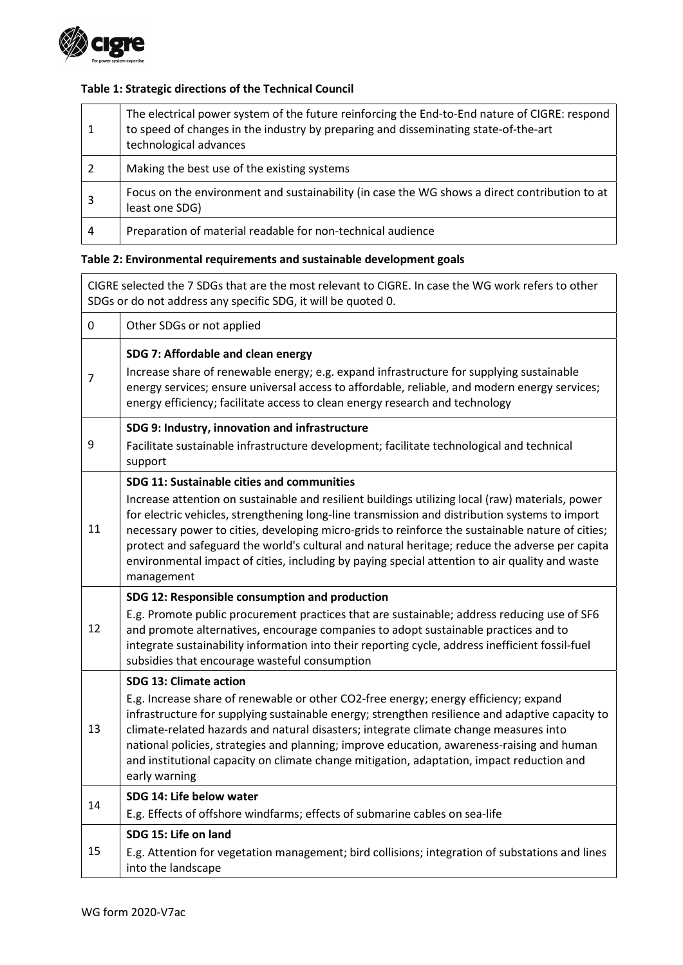

## Table 1: Strategic directions of the Technical Council

|   | The electrical power system of the future reinforcing the End-to-End nature of CIGRE: respond<br>to speed of changes in the industry by preparing and disseminating state-of-the-art<br>technological advances |
|---|----------------------------------------------------------------------------------------------------------------------------------------------------------------------------------------------------------------|
|   | Making the best use of the existing systems                                                                                                                                                                    |
| 3 | Focus on the environment and sustainability (in case the WG shows a direct contribution to at<br>least one SDG)                                                                                                |
| 4 | Preparation of material readable for non-technical audience                                                                                                                                                    |

# Table 2: Environmental requirements and sustainable development goals

| CIGRE selected the 7 SDGs that are the most relevant to CIGRE. In case the WG work refers to other<br>SDGs or do not address any specific SDG, it will be quoted 0. |                                                                                                                                                                                                                                                                                                                                                                                                                                                                                                                                                                        |  |
|---------------------------------------------------------------------------------------------------------------------------------------------------------------------|------------------------------------------------------------------------------------------------------------------------------------------------------------------------------------------------------------------------------------------------------------------------------------------------------------------------------------------------------------------------------------------------------------------------------------------------------------------------------------------------------------------------------------------------------------------------|--|
| 0                                                                                                                                                                   | Other SDGs or not applied                                                                                                                                                                                                                                                                                                                                                                                                                                                                                                                                              |  |
| $\overline{7}$                                                                                                                                                      | SDG 7: Affordable and clean energy<br>Increase share of renewable energy; e.g. expand infrastructure for supplying sustainable<br>energy services; ensure universal access to affordable, reliable, and modern energy services;<br>energy efficiency; facilitate access to clean energy research and technology                                                                                                                                                                                                                                                        |  |
| 9                                                                                                                                                                   | SDG 9: Industry, innovation and infrastructure<br>Facilitate sustainable infrastructure development; facilitate technological and technical<br>support                                                                                                                                                                                                                                                                                                                                                                                                                 |  |
| 11                                                                                                                                                                  | SDG 11: Sustainable cities and communities<br>Increase attention on sustainable and resilient buildings utilizing local (raw) materials, power<br>for electric vehicles, strengthening long-line transmission and distribution systems to import<br>necessary power to cities, developing micro-grids to reinforce the sustainable nature of cities;<br>protect and safeguard the world's cultural and natural heritage; reduce the adverse per capita<br>environmental impact of cities, including by paying special attention to air quality and waste<br>management |  |
| 12                                                                                                                                                                  | SDG 12: Responsible consumption and production<br>E.g. Promote public procurement practices that are sustainable; address reducing use of SF6<br>and promote alternatives, encourage companies to adopt sustainable practices and to<br>integrate sustainability information into their reporting cycle, address inefficient fossil-fuel<br>subsidies that encourage wasteful consumption                                                                                                                                                                              |  |
| 13                                                                                                                                                                  | <b>SDG 13: Climate action</b><br>E.g. Increase share of renewable or other CO2-free energy; energy efficiency; expand<br>infrastructure for supplying sustainable energy; strengthen resilience and adaptive capacity to<br>climate-related hazards and natural disasters; integrate climate change measures into<br>national policies, strategies and planning; improve education, awareness-raising and human<br>and institutional capacity on climate change mitigation, adaptation, impact reduction and<br>early warning                                          |  |
| 14                                                                                                                                                                  | SDG 14: Life below water<br>E.g. Effects of offshore windfarms; effects of submarine cables on sea-life                                                                                                                                                                                                                                                                                                                                                                                                                                                                |  |
| 15                                                                                                                                                                  | SDG 15: Life on land<br>E.g. Attention for vegetation management; bird collisions; integration of substations and lines<br>into the landscape                                                                                                                                                                                                                                                                                                                                                                                                                          |  |